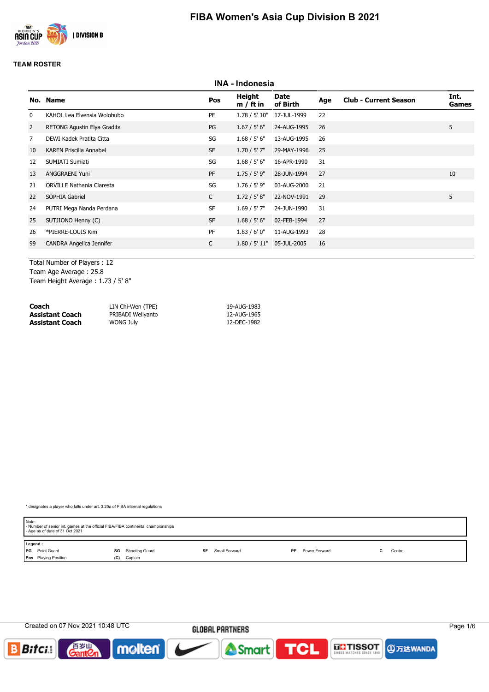

|                | <b>INA - Indonesia</b>           |              |                       |                           |     |                              |                      |  |  |  |  |  |
|----------------|----------------------------------|--------------|-----------------------|---------------------------|-----|------------------------------|----------------------|--|--|--|--|--|
| No.            | <b>Name</b>                      | Pos          | Height<br>$m / ft$ in | Date<br>of Birth          | Age | <b>Club - Current Season</b> | Int.<br><b>Games</b> |  |  |  |  |  |
| 0              | KAHOL Lea Elvensia Wolobubo      | PF           |                       | 1.78 / 5' 10" 17-JUL-1999 | 22  |                              |                      |  |  |  |  |  |
| $\overline{2}$ | RETONG Agustin Elya Gradita      | PG           | 1.67 / 5' 6''         | 24-AUG-1995               | 26  |                              | 5                    |  |  |  |  |  |
| 7              | DEWI Kadek Pratita Citta         | SG           | 1.68 / 5' 6''         | 13-AUG-1995               | 26  |                              |                      |  |  |  |  |  |
| 10             | <b>KAREN Priscilla Annabel</b>   | <b>SF</b>    | $1.70 / 5'$ 7"        | 29-MAY-1996               | 25  |                              |                      |  |  |  |  |  |
| 12             | SUMIATI Sumiati                  | SG           | 1.68 / 5' 6''         | 16-APR-1990               | 31  |                              |                      |  |  |  |  |  |
| 13             | ANGGRAENI Yuni                   | PF           | $1.75 / 5'$ 9"        | 28-JUN-1994               | 27  |                              | 10                   |  |  |  |  |  |
| 21             | <b>ORVILLE Nathania Claresta</b> | SG           | $1.76 / 5'$ 9"        | 03-AUG-2000               | 21  |                              |                      |  |  |  |  |  |
| 22             | SOPHIA Gabriel                   | $\mathsf{C}$ | 1.72 / 5' 8"          | 22-NOV-1991               | 29  |                              | 5                    |  |  |  |  |  |
| 24             | PUTRI Mega Nanda Perdana         | <b>SF</b>    | $1.69 / 5'$ 7"        | 24-JUN-1990               | 31  |                              |                      |  |  |  |  |  |
| 25             | SUTJIONO Henny (C)               | <b>SF</b>    | 1.68 / 5' 6''         | 02-FEB-1994               | 27  |                              |                      |  |  |  |  |  |
| 26             | *PIERRE-LOUIS Kim                | PF           | 1.83/6'0''            | 11-AUG-1993               | 28  |                              |                      |  |  |  |  |  |
| 99             | CANDRA Angelica Jennifer         | $\mathsf{C}$ | 1.80 / 5' 11"         | 05-JUL-2005               | 16  |                              |                      |  |  |  |  |  |
|                |                                  |              |                       |                           |     |                              |                      |  |  |  |  |  |

Total Number of Players : 12 Team Age Average : 25.8 Team Height Average : 1.73 / 5' 8"

| Coach           | LIN Chi-Wen (TPE) | 19-AUG-1983 |
|-----------------|-------------------|-------------|
| Assistant Coach | PRIBADI Wellyanto | 12-AUG-1965 |
| Assistant Coach | WONG July         | 12-DEC-1982 |

| Note:   | - Number of senior int. games at the official FIBA/FIBA continental championships<br>- Age as of date of 31 Oct 2021 |     |                |    |               |    |               |  |        |
|---------|----------------------------------------------------------------------------------------------------------------------|-----|----------------|----|---------------|----|---------------|--|--------|
| Legend: |                                                                                                                      |     |                |    |               |    |               |  |        |
|         | PG Point Guard                                                                                                       | SG  | Shooting Guard | SF | Small Forward | PF | Power Forward |  | Centre |
|         | Pos Playing Position                                                                                                 | (C) | Captain        |    |               |    |               |  |        |

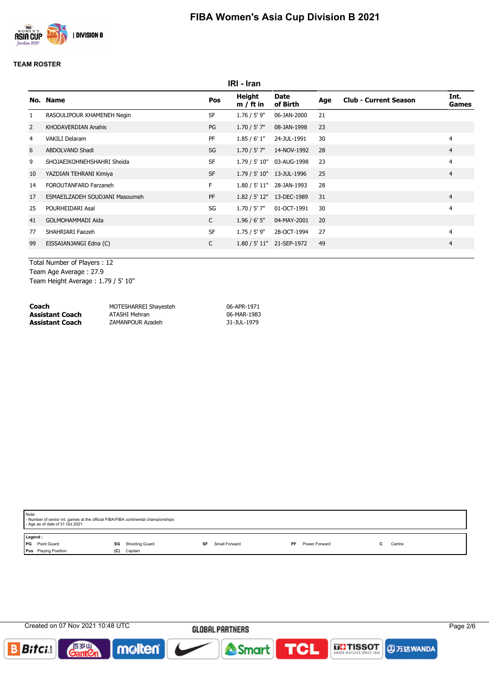

|              | IRI - Iran                     |              |                       |                              |     |                              |                |  |  |  |  |  |
|--------------|--------------------------------|--------------|-----------------------|------------------------------|-----|------------------------------|----------------|--|--|--|--|--|
| No.          | <b>Name</b>                    | Pos          | Height<br>$m / ft$ in | Date<br>of Birth             | Age | <b>Club - Current Season</b> | Int.<br>Games  |  |  |  |  |  |
| $\mathbf{1}$ | RASOULIPOUR KHAMENEH Negin     | <b>SF</b>    | $1.76 / 5'$ 9"        | 06-JAN-2000                  | 21  |                              |                |  |  |  |  |  |
| 2            | <b>KHODAVERDIAN Anahis</b>     | PG           | $1.70 / 5'$ 7"        | 08-JAN-1998                  | 23  |                              |                |  |  |  |  |  |
| 4            | <b>VAKILI Delaram</b>          | PF           | 1.85/6'1"             | 24-JUL-1991                  | 30  |                              | 4              |  |  |  |  |  |
| 6            | ABDOLVAND Shadi                | SG           |                       | $1.70 / 5'$ 7" $14-NOV-1992$ | 28  |                              | $\overline{4}$ |  |  |  |  |  |
| 9            | SHOJAEIKOHNEHSHAHRI Sheida     | <b>SF</b>    |                       | 1.79 / 5' 10" 03-AUG-1998    | 23  |                              | $\overline{4}$ |  |  |  |  |  |
| 10           | YAZDIAN TEHRANI Kimiya         | <b>SF</b>    |                       | 1.79 / 5' 10" 13-JUL-1996    | 25  |                              | $\overline{4}$ |  |  |  |  |  |
| 14           | FOROUTANFARD Farzaneh          | F.           |                       | 1.80 / 5' 11" 28-JAN-1993    | 28  |                              |                |  |  |  |  |  |
| 17           | ESMAEILZADEH SOUDJANI Masoumeh | <b>PF</b>    |                       | 1.82 / 5' 12" 13-DEC-1989    | 31  |                              | $\overline{4}$ |  |  |  |  |  |
| 25           | POURHEIDARI Asal               | SG           | $1.70 / 5'$ 7"        | 01-OCT-1991                  | 30  |                              | 4              |  |  |  |  |  |
| 41           | <b>GOLMOHAMMADI Aida</b>       | $\mathsf{C}$ | $1.96 / 6'$ 5"        | 04-MAY-2001                  | 20  |                              |                |  |  |  |  |  |
| 77           | SHAHRIARI Faezeh               | <b>SF</b>    | 1.75 / 5' 9"          | 28-OCT-1994                  | 27  |                              | 4              |  |  |  |  |  |
| 99           | EISSAIANJANGI Edna (C)         | C            |                       | 1.80 / 5' 11" 21-SEP-1972    | 49  |                              | $\overline{4}$ |  |  |  |  |  |
|              |                                |              |                       |                              |     |                              |                |  |  |  |  |  |

Total Number of Players : 12 Team Age Average : 27.9 Team Height Average : 1.79 / 5' 10"

| Coach                  | MOTESHARREI Shayesteh | 06-APR-1971 |
|------------------------|-----------------------|-------------|
| <b>Assistant Coach</b> | ATASHI Mehran         | 06-MAR-1983 |
| <b>Assistant Coach</b> | ZAMANPOUR Azadeh      | 31-JUL-1979 |

| Note:   | - Number of senior int. games at the official FIBA/FIBA continental championships<br>- Age as of date of 31 Oct 2021 |     |                          |    |                     |               |        |
|---------|----------------------------------------------------------------------------------------------------------------------|-----|--------------------------|----|---------------------|---------------|--------|
| Legend: |                                                                                                                      |     |                          |    |                     |               |        |
| l PG    | Point Guard                                                                                                          |     | <b>SG</b> Shooting Guard | SF | Small Forward<br>PF | Power Forward | Centre |
|         | Pos Playing Position                                                                                                 | (C) | Captain                  |    |                     |               |        |
|         |                                                                                                                      |     |                          |    |                     |               |        |

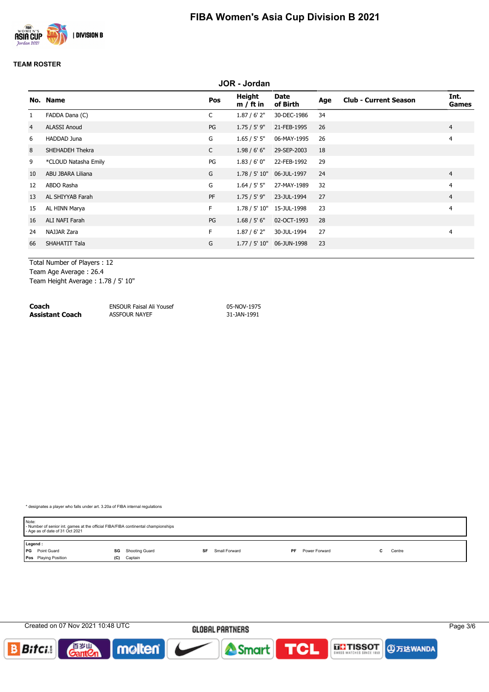

|                   | <b>JOR - Jordan</b>  |              |                       |                           |     |                              |                      |  |  |  |  |  |
|-------------------|----------------------|--------------|-----------------------|---------------------------|-----|------------------------------|----------------------|--|--|--|--|--|
|                   | No. Name             | Pos          | Height<br>$m / ft$ in | Date<br>of Birth          | Age | <b>Club - Current Season</b> | Int.<br><b>Games</b> |  |  |  |  |  |
| $\mathbf{1}$      | FADDA Dana (C)       | $\mathsf{C}$ | $1.87/6'$ 2"          | 30-DEC-1986               | 34  |                              |                      |  |  |  |  |  |
| $\overline{4}$    | <b>ALASSI Anoud</b>  | PG           | $1.75 / 5'$ 9"        | 21-FEB-1995               | 26  |                              | $\overline{4}$       |  |  |  |  |  |
| 6                 | HADDAD Juna          | G            | 1.65 / 5' 5''         | 06-MAY-1995               | 26  |                              | 4                    |  |  |  |  |  |
| 8                 | SHEHADEH Thekra      | $\mathsf{C}$ | 1.98 / 6' 6''         | 29-SEP-2003               | 18  |                              |                      |  |  |  |  |  |
| 9                 | *CLOUD Natasha Emily | PG           | 1.83/6'0''            | 22-FEB-1992               | 29  |                              |                      |  |  |  |  |  |
| 10                | ABU JBARA Liliana    | G            | 1.78 / 5' 10"         | 06-JUL-1997               | 24  |                              | $\overline{4}$       |  |  |  |  |  |
| $12 \overline{ }$ | ABDO Rasha           | G            | 1.64 / 5' 5''         | 27-MAY-1989               | 32  |                              | 4                    |  |  |  |  |  |
| 13                | AL SHIYYAB Farah     | PF           | 1.75 / 5' 9"          | 23-JUL-1994               | 27  |                              | $\overline{4}$       |  |  |  |  |  |
| 15                | AL HINN Marya        | F.           |                       | 1.78 / 5' 10" 15-JUL-1998 | 23  |                              | $\overline{4}$       |  |  |  |  |  |
| 16                | ALI NAFI Farah       | PG           | 1.68 / 5' 6''         | 02-OCT-1993               | 28  |                              |                      |  |  |  |  |  |
| 24                | NAJJAR Zara          | F.           | $1.87/6'$ 2"          | 30-JUL-1994               | 27  |                              | $\overline{4}$       |  |  |  |  |  |
| 66                | SHAHATIT Tala        | G            |                       | 1.77 / 5' 10" 06-JUN-1998 | 23  |                              |                      |  |  |  |  |  |
|                   |                      |              |                       |                           |     |                              |                      |  |  |  |  |  |

Total Number of Players : 12 Team Age Average : 26.4

Team Height Average : 1.78 / 5' 10"

**Coach** ENSOUR Faisal Ali Yousef 05-NOV-1975 **Assistant Coach** ASSFOUR NAYEF 31-JAN-1991

| Note: | - Number of senior int. games at the official FIBA/FIBA continental championships<br>- Age as of date of 31 Oct 2021 |     |                |    |               |    |               |  |        |  |
|-------|----------------------------------------------------------------------------------------------------------------------|-----|----------------|----|---------------|----|---------------|--|--------|--|
|       | Legend:                                                                                                              |     |                |    |               |    |               |  |        |  |
|       | <b>PG</b> Point Guard                                                                                                | SG  | Shooting Guard | SF | Small Forward | PF | Power Forward |  | Centre |  |
|       | <b>Pos</b> Playing Position                                                                                          | (C) | Captain        |    |               |    |               |  |        |  |

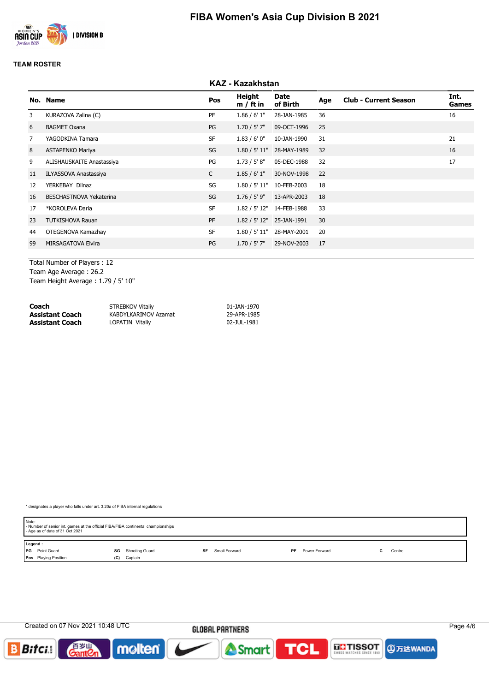

|    |                              |              | <b>KAZ - Kazakhstan</b> |                           |     |                              |               |
|----|------------------------------|--------------|-------------------------|---------------------------|-----|------------------------------|---------------|
|    | No. Name                     | Pos          | Height<br>$m / ft$ in   | Date<br>of Birth          | Age | <b>Club - Current Season</b> | Int.<br>Games |
| 3  | KURAZOVA Zalina (C)          | PF           | 1.86 / 6' 1''           | 28-JAN-1985               | 36  |                              | 16            |
| 6  | <b>BAGMET Oxana</b>          | PG           | $1.70 / 5'$ 7"          | 09-OCT-1996               | 25  |                              |               |
| 7  | YAGODKINA Tamara             | <b>SF</b>    | 1.83/6'0''              | 10-JAN-1990               | 31  |                              | 21            |
| 8  | <b>ASTAPENKO Mariya</b>      | SG           |                         | 1.80 / 5' 11" 28-MAY-1989 | 32  |                              | 16            |
| 9  | ALISHAUSKAITE Anastassiya    | PG           | 1.73 / 5' 8''           | 05-DEC-1988               | 32  |                              | 17            |
| 11 | <b>ILYASSOVA Anastassiya</b> | $\mathsf{C}$ | 1.85/6'1"               | 30-NOV-1998               | 22  |                              |               |
| 12 | YERKEBAY Dilnaz              | SG           | 1.80 / 5' 11"           | 10-FEB-2003               | 18  |                              |               |
| 16 | BESCHASTNOVA Yekaterina      | SG           | $1.76 / 5'$ 9"          | 13-APR-2003               | 18  |                              |               |
| 17 | *KOROLEVA Daria              | <b>SF</b>    |                         | 1.82 / 5' 12" 14-FEB-1988 | 33  |                              |               |
| 23 | <b>TUTKISHOVA Rauan</b>      | PF           |                         | 1.82 / 5' 12" 25-JAN-1991 | 30  |                              |               |
| 44 | OTEGENOVA Kamazhay           | <b>SF</b>    | 1.80 / 5' 11"           | 28-MAY-2001               | 20  |                              |               |
| 99 | <b>MIRSAGATOVA Elvira</b>    | PG           | $1.70 / 5'$ 7"          | 29-NOV-2003               | 17  |                              |               |
|    |                              |              |                         |                           |     |                              |               |

Total Number of Players : 12 Team Age Average : 26.2 Team Height Average : 1.79 / 5' 10"

| Coach           | STREBKOV Vitaliy       | 01-JAN-1970 |
|-----------------|------------------------|-------------|
| Assistant Coach | KABDYLKARIMOV Azamat   | 29-APR-1985 |
| Assistant Coach | <b>LOPATIN Vitaliv</b> | 02-JUL-1981 |

| Note:<br>- Number of senior int. games at the official FIBA/FIBA continental championships<br>- Age as of date of 31 Oct 2021 |                          |                     |                      |        |  |  |  |  |
|-------------------------------------------------------------------------------------------------------------------------------|--------------------------|---------------------|----------------------|--------|--|--|--|--|
| Legend:                                                                                                                       |                          |                     |                      |        |  |  |  |  |
| <b>PG</b> Point Guard                                                                                                         | <b>SG</b> Shooting Guard | Small Forward<br>SF | PF.<br>Power Forward | Centre |  |  |  |  |
| <b>Pos</b> Playing Position                                                                                                   | Captain<br>(C)           |                     |                      |        |  |  |  |  |

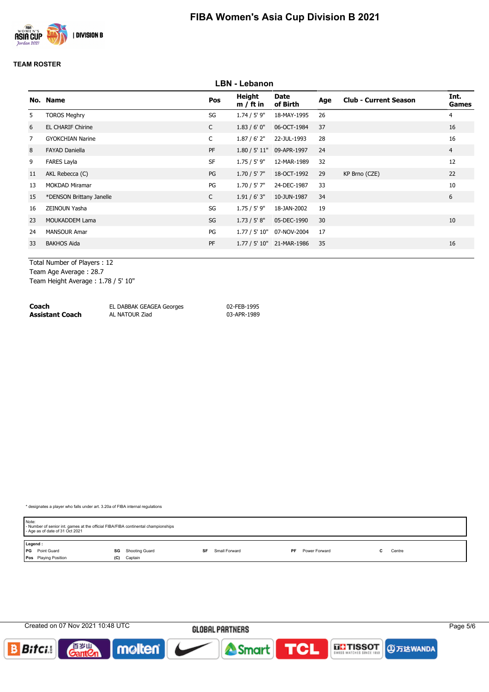

|    | <b>LBN - Lebanon</b>     |              |                       |                           |     |                              |                |  |  |  |  |
|----|--------------------------|--------------|-----------------------|---------------------------|-----|------------------------------|----------------|--|--|--|--|
|    | No. Name                 | Pos          | Height<br>$m / ft$ in | Date<br>of Birth          | Age | <b>Club - Current Season</b> | Int.<br>Games  |  |  |  |  |
| 5  | <b>TOROS Meghry</b>      | SG           | $1.74 / 5'$ 9"        | 18-MAY-1995               | 26  |                              | $\overline{4}$ |  |  |  |  |
| 6  | <b>EL CHARIF Chirine</b> | $\mathsf{C}$ | 1.83/6'0''            | 06-OCT-1984               | 37  |                              | 16             |  |  |  |  |
| 7  | <b>GYOKCHIAN Narine</b>  | $\mathsf{C}$ | $1.87/6'$ 2"          | 22-JUL-1993               | 28  |                              | 16             |  |  |  |  |
| 8  | <b>FAYAD Daniella</b>    | <b>PF</b>    | 1.80 / 5' 11"         | 09-APR-1997               | 24  |                              | $\overline{4}$ |  |  |  |  |
| 9  | <b>FARES Layla</b>       | <b>SF</b>    | $1.75 / 5'$ 9"        | 12-MAR-1989               | 32  |                              | 12             |  |  |  |  |
| 11 | AKL Rebecca (C)          | PG           | $1.70 / 5'$ 7"        | 18-OCT-1992               | 29  | KP Brno (CZE)                | 22             |  |  |  |  |
| 13 | <b>MOKDAD Miramar</b>    | PG           | $1.70 / 5'$ 7"        | 24-DEC-1987               | 33  |                              | 10             |  |  |  |  |
| 15 | *DENSON Brittany Janelle | $\mathsf{C}$ | 1.91/6'3''            | 10-JUN-1987               | 34  |                              | 6              |  |  |  |  |
| 16 | ZEINOUN Yasha            | SG           | $1.75 / 5'$ 9"        | 18-JAN-2002               | 19  |                              |                |  |  |  |  |
| 23 | <b>MOUKADDEM Lama</b>    | SG           | 1.73 / 5' 8''         | 05-DEC-1990               | 30  |                              | 10             |  |  |  |  |
| 24 | <b>MANSOUR Amar</b>      | PG           | 1.77 / 5' 10"         | 07-NOV-2004               | 17  |                              |                |  |  |  |  |
| 33 | <b>BAKHOS Aida</b>       | PF           |                       | 1.77 / 5' 10" 21-MAR-1986 | 35  |                              | 16             |  |  |  |  |
|    |                          |              |                       |                           |     |                              |                |  |  |  |  |

Total Number of Players : 12 Team Age Average : 28.7 Team Height Average : 1.78 / 5' 10"

**Coach** EL DABBAK GEAGEA Georges 02-FEB-1995<br> **Assistant Coach** AL NATOUR Ziad 03-APR-1989 **Assistant Coach** 

| Note:<br>- Number of senior int. games at the official FIBA/FIBA continental championships<br>- Age as of date of 31 Oct 2021 |                      |                     |                      |        |  |  |  |
|-------------------------------------------------------------------------------------------------------------------------------|----------------------|---------------------|----------------------|--------|--|--|--|
| Legend:                                                                                                                       |                      |                     |                      |        |  |  |  |
| <b>PG</b> Point Guard                                                                                                         | Shooting Guard<br>SG | Small Forward<br>SF | Power Forward<br>PF. | Centre |  |  |  |
| Pos Playing Position                                                                                                          | Captain<br>(C)       |                     |                      |        |  |  |  |